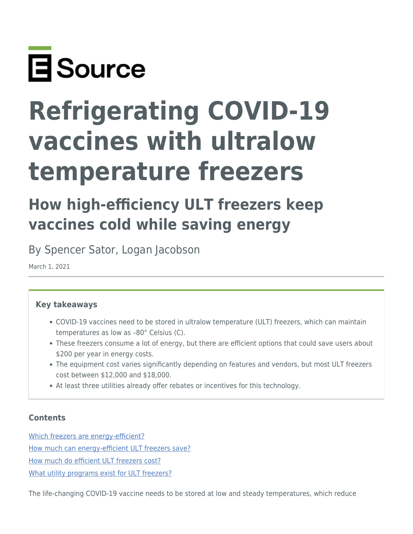

# **Refrigerating COVID-19 vaccines with ultralow temperature freezers**

# **How high-efficiency ULT freezers keep vaccines cold while saving energy**

By Spencer Sator, Logan Jacobson

March 1, 2021

#### **Key takeaways**

- COVID-19 vaccines need to be stored in ultralow temperature (ULT) freezers, which can maintain temperatures as low as –80° Celsius (C).
- These freezers consume a lot of energy, but there are efficient options that could save users about \$200 per year in energy costs.
- The equipment cost varies significantly depending on features and vendors, but most ULT freezers cost between \$12,000 and \$18,000.
- At least three utilities already offer rebates or incentives for this technology.

#### **Contents**

[Which freezers are energy-efficient?](#page-1-0) [How much can energy-efficient ULT freezers save?](#page-1-1)

[How much do efficient ULT freezers cost?](#page-3-0)

[What utility programs exist for ULT freezers?](#page-4-0)

The life-changing COVID-19 vaccine needs to be stored at low and steady temperatures, which reduce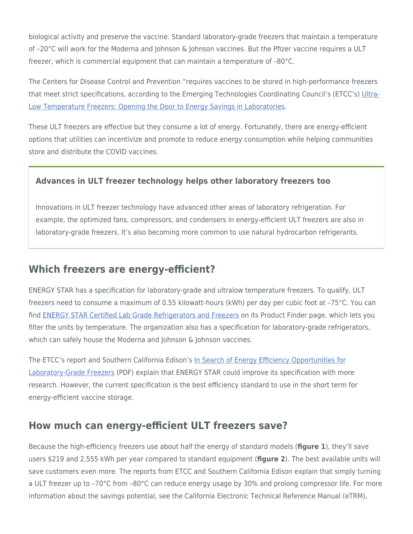biological activity and preserve the vaccine. Standard laboratory-grade freezers that maintain a temperature of –20°C will work for the Moderna and Johnson & Johnson vaccines. But the Pfizer vaccine requires a ULT freezer, which is commercial equipment that can maintain a temperature of –80°C.

The Centers for Disease Control and Prevention "requires vaccines to be stored in high-performance freezers that meet strict specifications, according to the Emerging Technologies Coordinating Council's (ETCC's) [Ultra-](https://www.etcc-ca.com/reports/ultra-low-temperature-freezers-opening-door-energy-savings-laboratories)[Low Temperature Freezers: Opening the Door to Energy Savings in Laboratories](https://www.etcc-ca.com/reports/ultra-low-temperature-freezers-opening-door-energy-savings-laboratories).

These ULT freezers are effective but they consume a lot of energy. Fortunately, there are energy-efficient options that utilities can incentivize and promote to reduce energy consumption while helping communities store and distribute the COVID vaccines.

#### **Advances in ULT freezer technology helps other laboratory freezers too**

Innovations in ULT freezer technology have advanced other areas of laboratory refrigeration. For example, the optimized fans, compressors, and condensers in energy-efficient ULT freezers are also in laboratory-grade freezers. It's also becoming more common to use natural hydrocarbon refrigerants.

### <span id="page-1-0"></span>**Which freezers are energy-efficient?**

ENERGY STAR has a specification for laboratory-grade and ultralow temperature freezers. To qualify, ULT freezers need to consume a maximum of 0.55 kilowatt-hours (kWh) per day per cubic foot at –75°C. You can find [ENERGY STAR Certified Lab Grade Refrigerators and Freezers](https://www.energystar.gov/productfinder/product/certified-lab-grade-refrigeration/) on its Product Finder page, which lets you filter the units by temperature. The organization also has a specification for laboratory-grade refrigerators, which can safely house the Moderna and Johnson & Johnson vaccines.

The ETCC's report and Southern California Edison's [In Search of Energy Efficiency Opportunities for](https://ca-etp.com/sites/default/files/2019-12/ceel_phase_iii_report_on_-20c_lab-grade_freezers_09.25.19.pdf) [Laboratory-Grade Freezers](https://ca-etp.com/sites/default/files/2019-12/ceel_phase_iii_report_on_-20c_lab-grade_freezers_09.25.19.pdf) (PDF) explain that ENERGY STAR could improve its specification with more research. However, the current specification is the best efficiency standard to use in the short term for energy-efficient vaccine storage.

# <span id="page-1-1"></span>**How much can energy-efficient ULT freezers save?**

Because the high-efficiency freezers use about half the energy of standard models (**figure 1**), they'll save users \$219 and 2,555 kWh per year compared to standard equipment (**figure 2**). The best available units will save customers even more. The reports from ETCC and Southern California Edison explain that simply turning a ULT freezer up to -70°C from -80°C can reduce energy usage by 30% and prolong compressor life. For more information about the savings potential, see the California Electronic Technical Reference Manual (eTRM),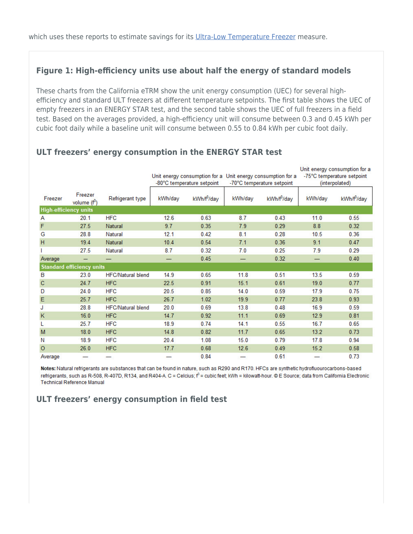#### **Figure 1: High-efficiency units use about half the energy of standard models**

These charts from the California eTRM show the unit energy consumption (UEC) for several highefficiency and standard ULT freezers at different temperature setpoints. The first table shows the UEC of empty freezers in an ENERGY STAR test, and the second table shows the UEC of full freezers in a field test. Based on the averages provided, a high-efficiency unit will consume between 0.3 and 0.45 kWh per cubic foot daily while a baseline unit will consume between 0.55 to 0.84 kWh per cubic foot daily.

|              |                                  |                          | -80°C temperature setpoint |            | Unit energy consumption for a Unit energy consumption for a<br>-70°C temperature setpoint |                         | Unit energy consumption for a<br>-75°C temperature setpoint<br>(interpolated) |            |
|--------------|----------------------------------|--------------------------|----------------------------|------------|-------------------------------------------------------------------------------------------|-------------------------|-------------------------------------------------------------------------------|------------|
| Freezer      | Freezer<br>volume $(f^3)$        | Refrigerant type         | kWh/day                    | kWh/f3/day | kWh/day                                                                                   | kWh/f <sup>3</sup> /day | kWh/day                                                                       | kWh/f3/day |
|              | <b>High-efficiency units</b>     |                          |                            |            |                                                                                           |                         |                                                                               |            |
| Α            | 20.1                             | <b>HFC</b>               | 12.6                       | 0.63       | 8.7                                                                                       | 0.43                    | 11.0                                                                          | 0.55       |
| F            | 27.5                             | Natural                  | 9.7                        | 0.35       | 7.9                                                                                       | 0.29                    | 8.8                                                                           | 0.32       |
| G            | 28.8                             | Natural                  | 12.1                       | 0.42       | 8.1                                                                                       | 0.28                    | 10.5                                                                          | 0.36       |
| H            | 19.4                             | Natural                  | 10.4                       | 0.54       | 7.1                                                                                       | 0.36                    | 9.1                                                                           | 0.47       |
|              | 27.5                             | Natural                  | 8.7                        | 0.32       | 7.0                                                                                       | 0.25                    | 7.9                                                                           | 0.29       |
| Average      |                                  |                          |                            | 0.45       |                                                                                           | 0.32                    |                                                                               | 0.40       |
|              | <b>Standard efficiency units</b> |                          |                            |            |                                                                                           |                         |                                                                               |            |
| B            | 23.0                             | <b>HFC/Natural blend</b> | 14.9                       | 0.65       | 11.8                                                                                      | 0.51                    | 13.5                                                                          | 0.59       |
| $\mathbf{C}$ | 24.7                             | <b>HFC</b>               | 22.5                       | 0.91       | 15.1                                                                                      | 0.61                    | 19.0                                                                          | 0.77       |
| D            | 24.0                             | <b>HFC</b>               | 20.5                       | 0.85       | 14.0                                                                                      | 0.59                    | 17.9                                                                          | 0.75       |
| E            | 25.7                             | <b>HFC</b>               | 26.7                       | 1.02       | 19.9                                                                                      | 0.77                    | 23.8                                                                          | 0.93       |
| J            | 28.8                             | <b>HFC/Natural blend</b> | 20.0                       | 0.69       | 13.8                                                                                      | 0.48                    | 16.9                                                                          | 0.59       |
| K            | 16.0                             | <b>HFC</b>               | 14.7                       | 0.92       | 11.1                                                                                      | 0.69                    | 12.9                                                                          | 0.81       |
| L            | 25.7                             | <b>HFC</b>               | 18.9                       | 0.74       | 14.1                                                                                      | 0.55                    | 16.7                                                                          | 0.65       |
| M            | 18.0                             | <b>HFC</b>               | 14.8                       | 0.82       | 11.7                                                                                      | 0.65                    | 13.2                                                                          | 0.73       |
| Ν            | 18.9                             | <b>HFC</b>               | 20.4                       | 1.08       | 15.0                                                                                      | 0.79                    | 17.8                                                                          | 0.94       |
| $\circ$      | 26.0                             | <b>HFC</b>               | 17.7                       | 0.68       | 12.6                                                                                      | 0.49                    | 15.2                                                                          | 0.58       |
| Average      |                                  |                          |                            | 0.84       |                                                                                           | 0.61                    |                                                                               | 0.73       |

#### **ULT freezers' energy consumption in the ENERGY STAR test**

Notes: Natural refrigerants are substances that can be found in nature, such as R290 and R170. HFCs are synthetic hydrofluourocarbons-based refrigerants, such as R-508, R-407D, R134, and R404-A. C = Celcius;  $f^3$  = cubic feet; kWh = kilowatt-hour. © E Source; data from California Electronic **Technical Reference Manual** 

#### **ULT freezers' energy consumption in field test**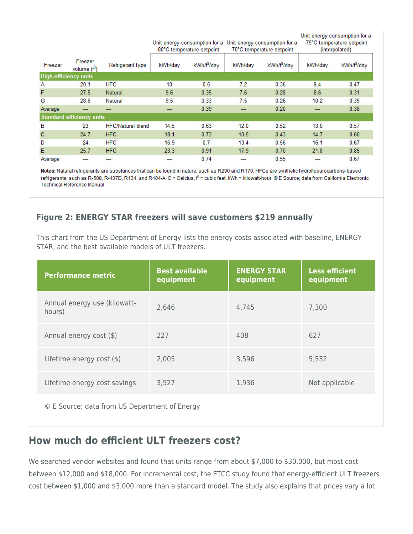Unit energy consumption for a

Unit energy consumption for a Unit energy consumption for a -75°C temperature setpoint -80°C temperature setpoint -70°C temperature setpoint (interpolated)

| Freezer                          | Freezer<br>volume $(f^3)$ | Refrigerant type         | kWh/day | kWh/f3/day | kWh/day | kWh/f3/day | kWh/dav | kWh/f3/day |
|----------------------------------|---------------------------|--------------------------|---------|------------|---------|------------|---------|------------|
| <b>High-efficiency units</b>     |                           |                          |         |            |         |            |         |            |
| A                                | 20.1                      | <b>HFC</b>               | 10      | 0.5        | 7.2     | 0.36       | 9.4     | 0.47       |
| F                                | 27.5                      | Natural                  | 9.6     | 0.35       | 7.6     | 0.28       | 8.6     | 0.31       |
| G                                | 28.8                      | Natural                  | 9.5     | 0.33       | 7.5     | 0.26       | 10.2    | 0.35       |
| Average                          |                           |                          |         | 0.39       |         | 0.20       |         | 0.38       |
| <b>Standard efficiency units</b> |                           |                          |         |            |         |            |         |            |
| B                                | 23                        | <b>HFC/Natural blend</b> | 14.5    | 0.63       | 12.0    | 0.52       | 13.0    | 0.57       |
| $\mathbf{C}$                     | 24.7                      | <b>HFC</b>               | 18.1    | 0.73       | 10.5    | 0.43       | 14.7    | 0.60       |
| D                                | 24                        | <b>HFC</b>               | 16.9    | 0.7        | 13.4    | 0.56       | 16.1    | 0.67       |
| E                                | 25.7                      | <b>HFC</b>               | 23.3    | 0.91       | 17.9    | 0.70       | 21.8    | 0.85       |
| Average                          |                           |                          |         | 0.74       |         | 0.55       |         | 0.67       |

Notes: Natural refrigerants are substances that can be found in nature, such as R290 and R170. HFCs are synthetic hydrofluourocarbons-based refrigerants, such as R-508, R-407D, R134, and R404-A. C = Celcius;  $f^3$  = cubic feet; kWh = kilowatt-hour. © E Source; data from California Electronic **Technical Reference Manual** 

#### **Figure 2: ENERGY STAR freezers will save customers \$219 annually**

This chart from the US Department of Energy lists the energy costs associated with baseline, ENERGY STAR, and the best available models of ULT freezers.

| <b>Performance metric</b>              | <b>Best available</b><br>equipment | <b>ENERGY STAR</b><br>equipment | <b>Less efficient</b><br>equipment |
|----------------------------------------|------------------------------------|---------------------------------|------------------------------------|
| Annual energy use (kilowatt-<br>hours) | 2,646                              | 4,745                           | 7,300                              |
| Annual energy cost (\$)                | 227                                | 408                             | 627                                |
| Lifetime energy cost (\$)              | 2,005                              | 3,596                           | 5,532                              |
| Lifetime energy cost savings           | 3,527                              | 1,936                           | Not applicable                     |

© E Source; data from US Department of Energy

# <span id="page-3-0"></span>**How much do efficient ULT freezers cost?**

We searched vendor websites and found that units range from about \$7,000 to \$30,000, but most cost between \$12,000 and \$18,000. For incremental cost, the ETCC study found that energy-efficient ULT freezers cost between \$1,000 and \$3,000 more than a standard model. The study also explains that prices vary a lot